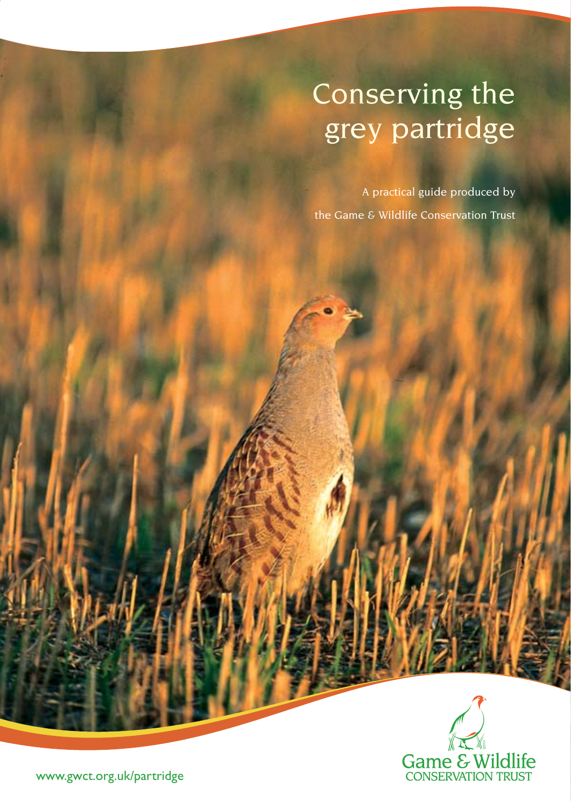# Conserving the grey partridge

A practical guide produced by the Game & Wildlife Conservation Trust



www.gwct.org.uk/partridge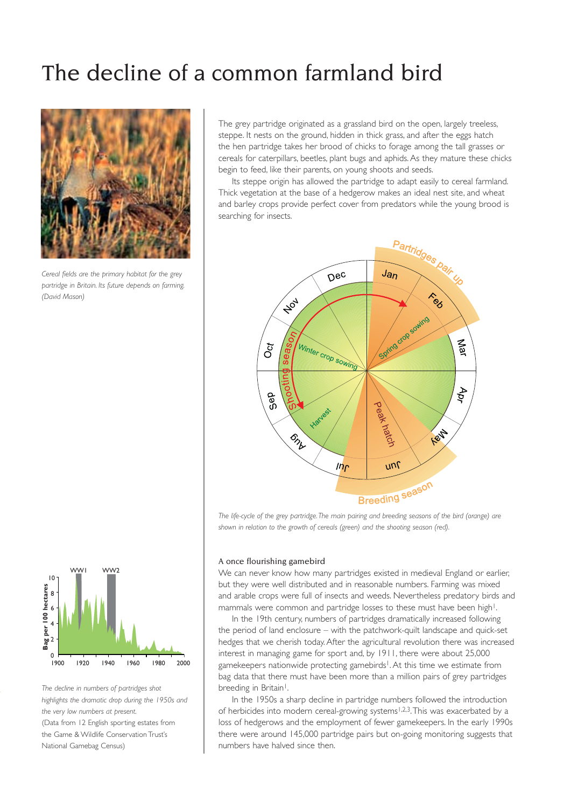# The decline of a common farmland bird



*Cereal fields are the primary habitat for the grey partridge in Britain. Its future depends on farming. (David Mason)*

The grey partridge originated as a grassland bird on the open, largely treeless, steppe. It nests on the ground, hidden in thick grass, and after the eggs hatch the hen partridge takes her brood of chicks to forage among the tall grasses or cereals for caterpillars, beetles, plant bugs and aphids. As they mature these chicks begin to feed, like their parents, on young shoots and seeds.

Its steppe origin has allowed the partridge to adapt easily to cereal farmland. Thick vegetation at the base of a hedgerow makes an ideal nest site, and wheat and barley crops provide perfect cover from predators while the young brood is searching for insects.



*The life-cycle of the grey partridge. The main pairing and breeding seasons of the bird (orange) are shown in relation to the growth of cereals (green) and the shooting season (red).*

### A once flourishing gamebird

We can never know how many partridges existed in medieval England or earlier, but they were well distributed and in reasonable numbers. Farming was mixed and arable crops were full of insects and weeds. Nevertheless predatory birds and mammals were common and partridge losses to these must have been high<sup>1</sup>.

In the 19th century, numbers of partridges dramatically increased following the period of land enclosure – with the patchwork-quilt landscape and quick-set hedges that we cherish today. After the agricultural revolution there was increased interest in managing game for sport and, by 1911, there were about 25,000 gamekeepers nationwide protecting gamebirds<sup>1</sup>. At this time we estimate from bag data that there must have been more than a million pairs of grey partridges breeding in Britain<sup>1</sup>.

In the 1950s a sharp decline in partridge numbers followed the introduction of herbicides into modern cereal-growing systems<sup>1,2,3</sup>. This was exacerbated by a loss of hedgerows and the employment of fewer gamekeepers. In the early 1990s there were around 145,000 partridge pairs but on-going monitoring suggests that numbers have halved since then.



*The decline in numbers of partridges shot highlights the dramatic drop during the 1950s and the very low numbers at present.*  (Data from 12 English sporting estates from the Game & Wildlife Conservation Trust's National Gamebag Census)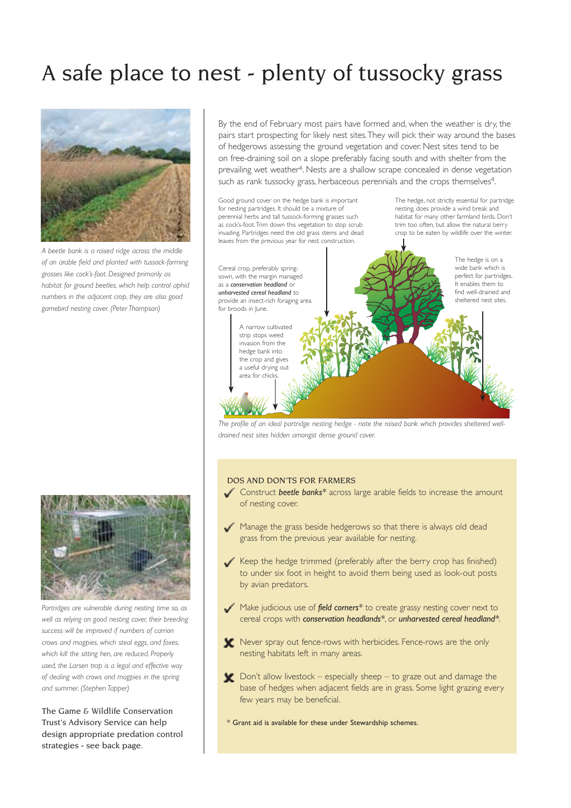# A safe place to nest - plenty of tussocky grass



*A beetle bank is a raised ridge across the middle of an arable field and planted with tussock-forming grasses like cock's-foot. Designed primarily as habitat for ground beetles, which help control aphid numbers in the adjacent crop, they are also good gamebird nesting cover. (Peter Thompson)*



*Partridges are vulnerable during nesting time so, as well as relying on good nesting cover, their breeding success will be improved if numbers of carrion crows and magpies, which steal eggs, and foxes, which kill the sitting hen, are reduced. Properly used, the Larsen trap is a legal and effective way of dealing with crows and magpies in the spring and summer. (Stephen Tapper)*

The Game & Wildlife Conservation Trust's Advisory Service can help design appropriate predation control strategies - see back page.

By the end of February most pairs have formed and, when the weather is dry, the pairs start prospecting for likely nest sites. They will pick their way around the bases of hedgerows assessing the ground vegetation and cover. Nest sites tend to be on free-draining soil on a slope preferably facing south and with shelter from the prevailing wet weather4. Nests are a shallow scrape concealed in dense vegetation such as rank tussocky grass, herbaceous perennials and the crops themselves<sup>4</sup>.

Good ground cover on the hedge bank is important for nesting partridges. It should be a mixture of perennial herbs and tall tussock-forming grasses such as cock's-foot. Trim down this vegetation to stop scrub invading. Partridges need the old grass stems and dead leaves from the previous year for nest construction. Cereal crop, preferably springsown, with the margin managed as a *conservation headland* or *unharvested cereal headland* to

for broods in June. A narrow cultivated strip stops weed invasion from the hedge bank into the crop and gives a useful drying out area for chicks.

provide an insect-rich foraging area

The hedge, not strictly essential for partridge nesting, does provide a wind break and habitat for many other farmland birds. Don't trim too often, but allow the natural berry crop to be eaten by wildlife over the winter.



*The profile of an ideal partridge nesting hedge - note the raised bank which provides sheltered welldrained nest sites hidden amongst dense ground cover.*

### DOS AND DON'TS FOR FARMERS

- Construct *beetle banks\** across large arable fields to increase the amount of nesting cover.
- Manage the grass beside hedgerows so that there is always old dead grass from the previous year available for nesting.
- Keep the hedge trimmed (preferably after the berry crop has finished) to under six foot in height to avoid them being used as look-out posts by avian predators.
- Make judicious use of *field corners\** to create grassy nesting cover next to cereal crops with *conservation headlands\**, or *unharvested cereal headland\**.
- Never spray out fence-rows with herbicides. Fence-rows are the only nesting habitats left in many areas.
- Don't allow livestock especially sheep to graze out and damage the base of hedges when adjacent fields are in grass. Some light grazing every few years may be beneficial.
- \* Grant aid is available for these under Stewardship schemes.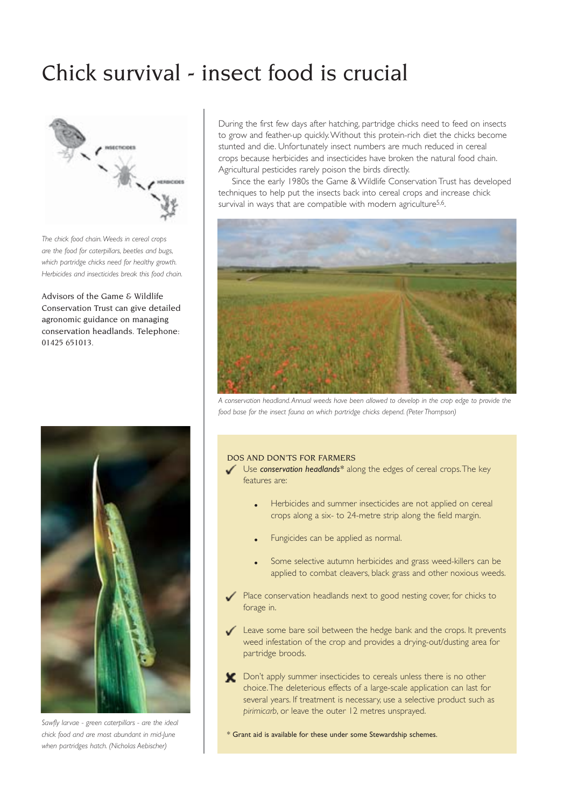# Chick survival - insect food is crucial



*The chick food chain. Weeds in cereal crops are the food for caterpillars, beetles and bugs, which partridge chicks need for healthy growth. Herbicides and insecticides break this food chain.*

Advisors of the Game & Wildlife Conservation Trust can give detailed agronomic guidance on managing conservation headlands. Telephone: 01425 651013.



*Sawfly larvae - green caterpillars - are the ideal chick food and are most abundant in mid-June when partridges hatch. (Nicholas Aebischer)*

During the first few days after hatching, partridge chicks need to feed on insects to grow and feather-up quickly. Without this protein-rich diet the chicks become stunted and die. Unfortunately insect numbers are much reduced in cereal crops because herbicides and insecticides have broken the natural food chain. Agricultural pesticides rarely poison the birds directly.

Since the early 1980s the Game & Wildlife Conservation Trust has developed techniques to help put the insects back into cereal crops and increase chick survival in ways that are compatible with modern agriculture<sup>5,6</sup>.



*A conservation headland. Annual weeds have been allowed to develop in the crop edge to provide the food base for the insect fauna on which partridge chicks depend. (Peter Thompson)*

### DOS AND DON'TS FOR FARMERS

 Use *conservation headlands\** along the edges of cereal crops. The key features are:

- Herbicides and summer insecticides are not applied on cereal crops along a six- to 24-metre strip along the field margin.
- Fungicides can be applied as normal.
- Some selective autumn herbicides and grass weed-killers can be applied to combat cleavers, black grass and other noxious weeds.
- Place conservation headlands next to good nesting cover, for chicks to forage in.
- Leave some bare soil between the hedge bank and the crops. It prevents weed infestation of the crop and provides a drying-out/dusting area for partridge broods.
- **T** Don't apply summer insecticides to cereals unless there is no other choice. The deleterious effects of a large-scale application can last for several years. If treatment is necessary, use a selective product such as *pirimicarb*, or leave the outer 12 metres unsprayed.

\* Grant aid is available for these under some Stewardship schemes.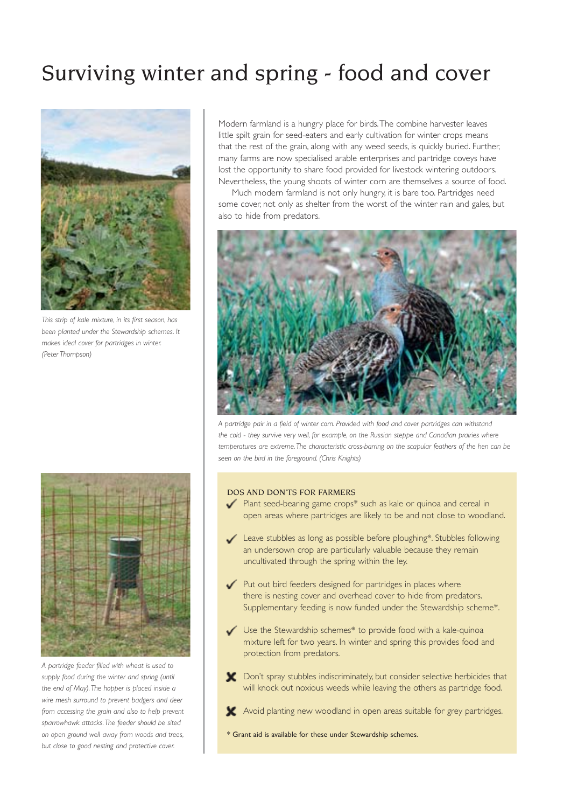# Surviving winter and spring - food and cover



*This strip of kale mixture, in its first season, has been planted under the Stewardship schemes. It makes ideal cover for partridges in winter. (Peter Thompson)*



*A partridge feeder filled with wheat is used to supply food during the winter and spring (until the end of May). The hopper is placed inside a wire mesh surround to prevent badgers and deer from accessing the grain and also to help prevent sparrowhawk attacks. The feeder should be sited on open ground well away from woods and trees, but close to good nesting and protective cover.*

Modern farmland is a hungry place for birds. The combine harvester leaves little spilt grain for seed-eaters and early cultivation for winter crops means that the rest of the grain, along with any weed seeds, is quickly buried. Further, many farms are now specialised arable enterprises and partridge coveys have lost the opportunity to share food provided for livestock wintering outdoors. Nevertheless, the young shoots of winter corn are themselves a source of food.

Much modern farmland is not only hungry, it is bare too. Partridges need some cover, not only as shelter from the worst of the winter rain and gales, but also to hide from predators.



*A partridge pair in a field of winter corn. Provided with food and cover partridges can withstand the cold - they survive very well, for example, on the Russian steppe and Canadian prairies where temperatures are extreme. The characteristic cross-barring on the scapular feathers of the hen can be seen on the bird in the foreground. (Chris Knights)*

### DOS AND DON'TS FOR FARMERS

- Plant seed-bearing game crops\* such as kale or quinoa and cereal in open areas where partridges are likely to be and not close to woodland.
- Leave stubbles as long as possible before ploughing\*. Stubbles following an undersown crop are particularly valuable because they remain uncultivated through the spring within the ley.
- $\mathcal{L}$  Put out bird feeders designed for partridges in places where there is nesting cover and overhead cover to hide from predators. Supplementary feeding is now funded under the Stewardship scheme\*.
- Use the Stewardship schemes\* to provide food with a kale-quinoa mixture left for two years. In winter and spring this provides food and protection from predators.
- **M** Don't spray stubbles indiscriminately, but consider selective herbicides that will knock out noxious weeds while leaving the others as partridge food.
- Avoid planting new woodland in open areas suitable for grey partridges.
- \* Grant aid is available for these under Stewardship schemes.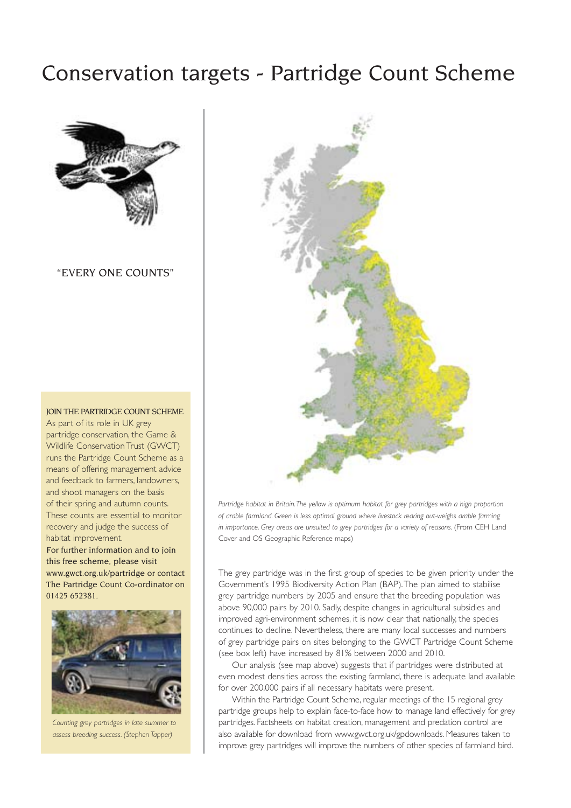### Conservation targets - Partridge Count Scheme



"EVERY ONE COUNTS"

JOIN THE PARTRIDGE COUNT SCHEME As part of its role in UK grey partridge conservation, the Game & Wildlife Conservation Trust (GWCT) runs the Partridge Count Scheme as a means of offering management advice and feedback to farmers, landowners, and shoot managers on the basis of their spring and autumn counts. These counts are essential to monitor recovery and judge the success of habitat improvement.

For further information and to join this free scheme, please visit www.gwct.org.uk/partridge or contact The Partridge Count Co-ordinator on 01425 652381.



*Counting grey partridges in late summer to assess breeding success. (Stephen Tapper)*



*Partridge habitat in Britain. The yellow is optimum habitat for grey partridges with a high proportion of arable farmland. Green is less optimal ground where livestock rearing out-weighs arable farming*  in importance. Grey areas are unsuited to grey partridges for a variety of reasons. (From CEH Land Cover and OS Geographic Reference maps)

The grey partridge was in the first group of species to be given priority under the Government's 1995 Biodiversity Action Plan (BAP). The plan aimed to stabilise grey partridge numbers by 2005 and ensure that the breeding population was above 90,000 pairs by 2010. Sadly, despite changes in agricultural subsidies and improved agri-environment schemes, it is now clear that nationally, the species continues to decline. Nevertheless, there are many local successes and numbers of grey partridge pairs on sites belonging to the GWCT Partridge Count Scheme (see box left) have increased by 81% between 2000 and 2010.

Our analysis (see map above) suggests that if partridges were distributed at even modest densities across the existing farmland, there is adequate land available for over 200,000 pairs if all necessary habitats were present.

Within the Partridge Count Scheme, regular meetings of the 15 regional grey partridge groups help to explain face-to-face how to manage land effectively for grey partridges. Factsheets on habitat creation, management and predation control are also available for download from www.gwct.org.uk/gpdownloads. Measures taken to improve grey partridges will improve the numbers of other species of farmland bird.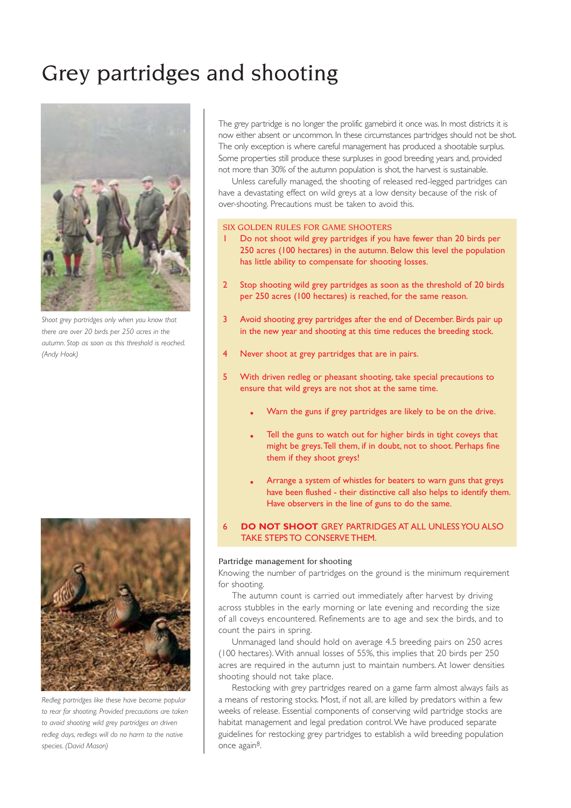# Grey partridges and shooting



*Shoot grey partridges only when you know that there are over 20 birds per 250 acres in the autumn. Stop as soon as this threshold is reached. (Andy Hook)*



*Redleg partridges like these have become popular to rear for shooting. Provided precautions are taken to avoid shooting wild grey partridges on driven redleg days, redlegs will do no harm to the native species. (David Mason)*

The grey partridge is no longer the prolific gamebird it once was. In most districts it is now either absent or uncommon. In these circumstances partridges should not be shot. The only exception is where careful management has produced a shootable surplus. Some properties still produce these surpluses in good breeding years and, provided not more than 30% of the autumn population is shot, the harvest is sustainable.

Unless carefully managed, the shooting of released red-legged partridges can have a devastating effect on wild greys at a low density because of the risk of over-shooting. Precautions must be taken to avoid this.

### SIX GOLDEN RULES FOR GAME SHOOTERS

- Do not shoot wild grey partridges if you have fewer than 20 birds per 250 acres (100 hectares) in the autumn. Below this level the population has little ability to compensate for shooting losses.
- 2 Stop shooting wild grey partridges as soon as the threshold of 20 birds per 250 acres (100 hectares) is reached, for the same reason.
- 3 Avoid shooting grey partridges after the end of December. Birds pair up in the new year and shooting at this time reduces the breeding stock.
- 4 Never shoot at grey partridges that are in pairs.
- 5 With driven redleg or pheasant shooting, take special precautions to ensure that wild greys are not shot at the same time.
	- Warn the guns if grey partridges are likely to be on the drive.
	- Tell the guns to watch out for higher birds in tight coveys that might be greys. Tell them, if in doubt, not to shoot. Perhaps fine them if they shoot greys!
	- Arrange a system of whistles for beaters to warn guns that greys have been flushed - their distinctive call also helps to identify them. Have observers in the line of guns to do the same.
- 6 **DO NOT SHOOT** GREY PARTRIDGES AT ALL UNLESS YOU ALSO TAKE STEPS TO CONSERVE THEM.

### Partridge management for shooting

Knowing the number of partridges on the ground is the minimum requirement for shooting.

The autumn count is carried out immediately after harvest by driving across stubbles in the early morning or late evening and recording the size of all coveys encountered. Refinements are to age and sex the birds, and to count the pairs in spring.

Unmanaged land should hold on average 4.5 breeding pairs on 250 acres (100 hectares). With annual losses of 55%, this implies that 20 birds per 250 acres are required in the autumn just to maintain numbers. At lower densities shooting should not take place.

Restocking with grey partridges reared on a game farm almost always fails as a means of restoring stocks. Most, if not all, are killed by predators within a few weeks of release. Essential components of conserving wild partridge stocks are habitat management and legal predation control. We have produced separate guidelines for restocking grey partridges to establish a wild breeding population once again8.